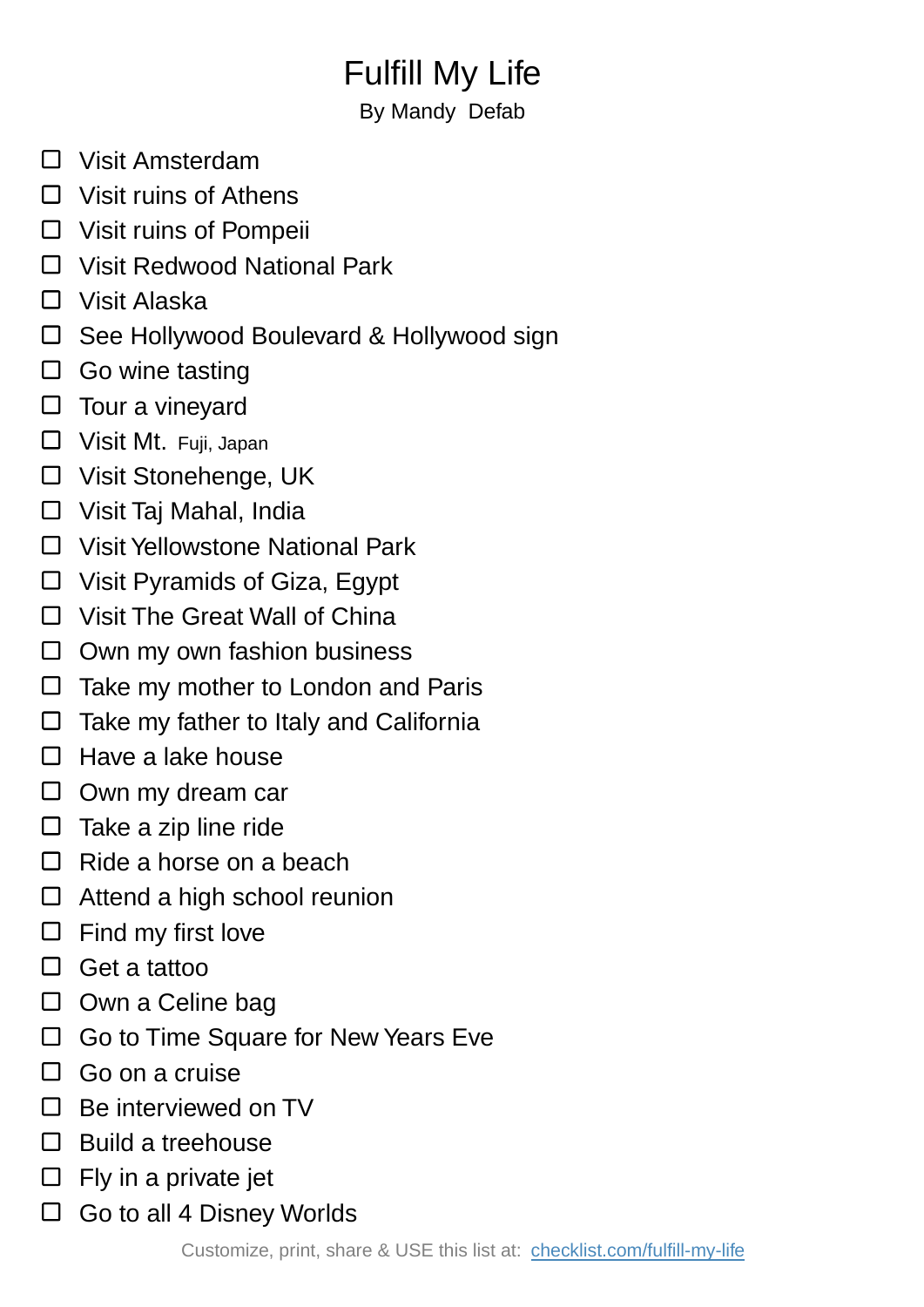## Fulfill My Life

By Mandy Defab

- □ Visit Amsterdam
- $\Box$  Visit ruins of Athens
- □ Visit ruins of Pompeii
- □ Visit Redwood National Park
- Visit Alaska
- □ See Hollywood Boulevard & Hollywood sign
- $\Box$  Go wine tasting
- $\square$  Tour a vineyard
- □ Visit Mt. Fuji, Japan
- □ Visit Stonehenge, UK
- □ Visit Taj Mahal, India
- □ Visit Yellowstone National Park
- Visit Pyramids of Giza, Egypt
- □ Visit The Great Wall of China
- $\Box$  Own my own fashion business
- Take my mother to London and Paris  $\Box$
- $\Box$ Take my father to Italy and California
- $\Box$ Have a lake house
- $\Box$  Own my dream car
- $\Box$  Take a zip line ride
- $\Box$  Ride a horse on a beach
- $\Box$  Attend a high school reunion
- $\Box$  Find my first love
- □ Get a tattoo
- $\Box$  Own a Celine bag
- $\Box$  Go to Time Square for New Years Eve
- □ Go on a cruise
- $\Box$  Be interviewed on TV
- $\Box$  Build a treehouse
- $\Box$  Fly in a private jet
- $\Box$  Go to all 4 Disney Worlds